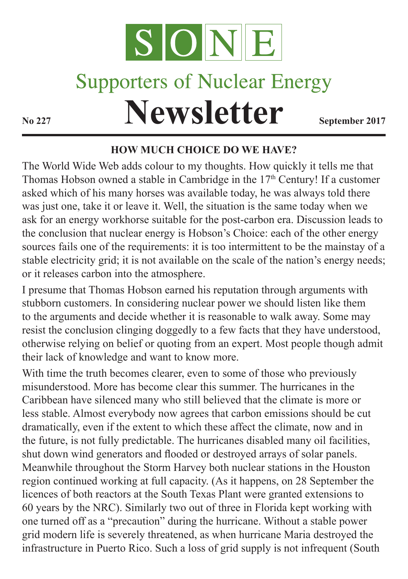

## **Supporters of Nuclear Energy**

**Newsletter September 2017** 

## **HOW MUCH CHOICE DO WE HAVE?**

The World Wide Web adds colour to my thoughts. How quickly it tells me that Thomas Hobson owned a stable in Cambridge in the 17<sup>th</sup> Century! If a customer asked which of his many horses was available today, he was always told there was just one, take it or leave it. Well, the situation is the same today when we ask for an energy workhorse suitable for the post-carbon era. Discussion leads to the conclusion that nuclear energy is Hobson's Choice: each of the other energy sources fails one of the requirements: it is too intermittent to be the mainstay of a stable electricity grid; it is not available on the scale of the nation's energy needs; or it releases carbon into the atmosphere.

I presume that Thomas Hobson earned his reputation through arguments with stubborn customers. In considering nuclear power we should listen like them to the arguments and decide whether it is reasonable to walk away. Some may resist the conclusion clinging doggedly to a few facts that they have understood, otherwise relying on belief or quoting from an expert. Most people though admit their lack of knowledge and want to know more.

With time the truth becomes clearer, even to some of those who previously misunderstood. More has become clear this summer. The hurricanes in the Caribbean have silenced many who still believed that the climate is more or less stable. Almost everybody now agrees that carbon emissions should be cut dramatically, even if the extent to which these affect the climate, now and in the future, is not fully predictable. The hurricanes disabled many oil facilities, shut down wind generators and flooded or destroyed arrays of solar panels. Meanwhile throughout the Storm Harvey both nuclear stations in the Houston region continued working at full capacity. (As it happens, on 28 September the licences of both reactors at the South Texas Plant were granted extensions to 60 years by the NRC). Similarly two out of three in Florida kept working with one turned off as a "precaution" during the hurricane. Without a stable power grid modern life is severely threatened, as when hurricane Maria destroyed the infrastructure in Puerto Rico. Such a loss of grid supply is not infrequent (South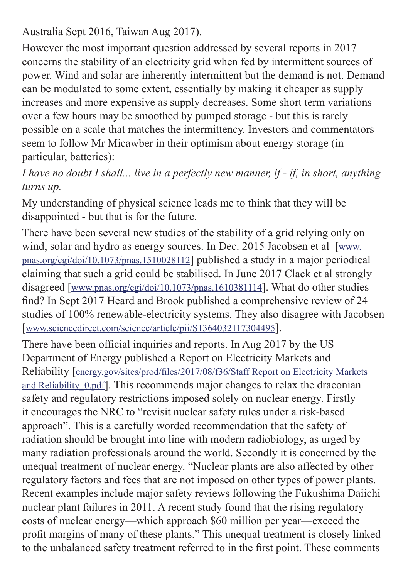Australia Sept 2016, Taiwan Aug 2017).

However the most important question addressed by several reports in 2017 concerns the stability of an electricity grid when fed by intermittent sources of power. Wind and solar are inherently intermittent but the demand is not. Demand can be modulated to some extent, essentially by making it cheaper as supply increases and more expensive as supply decreases. Some short term variations over a few hours may be smoothed by pumped storage - but this is rarely possible on a scale that matches the intermittency. Investors and commentators seem to follow Mr Micawber in their optimism about energy storage (in particular, batteries):

*I have no doubt I shall... live in a perfectly new manner, if - if, in short, anything turns up.* 

My understanding of physical science leads me to think that they will be disappointed - but that is for the future.

There have been several new studies of the stability of a grid relying only on wind, solar and hydro as energy sources. In Dec. 2015 Jacobsen et al [www.] pnas.org/cgi/doi/10.1073/pnas.1510028112] published a study in a major periodical claiming that such a grid could be stabilised. In June 2017 Clack et al strongly disagreed [www.pnas.org/cgi/doi/10.1073/pnas.1610381114]. What do other studies find? In Sept 2017 Heard and Brook published a comprehensive review of 24 studies of 100% renewable-electricity systems. They also disagree with Jacobsen [www.sciencedirect.com/science/article/pii/S1364032117304495].

There have been official inquiries and reports. In Aug 2017 by the US Department of Energy published a Report on Electricity Markets and Reliability [energy.gov/sites/prod/files/2017/08/f36/Staff Report on Electricity Markets and Reliability 0.pdf]. This recommends major changes to relax the draconian safety and regulatory restrictions imposed solely on nuclear energy. Firstly it encourages the NRC to "revisit nuclear safety rules under a risk-based approach". This is a carefully worded recommendation that the safety of radiation should be brought into line with modern radiobiology, as urged by many radiation professionals around the world. Secondly it is concerned by the unequal treatment of nuclear energy. "Nuclear plants are also affected by other regulatory factors and fees that are not imposed on other types of power plants. Recent examples include major safety reviews following the Fukushima Daiichi nuclear plant failures in 2011. A recent study found that the rising regulatory costs of nuclear energy—which approach \$60 million per year—exceed the profit margins of many of these plants." This unequal treatment is closely linked to the unbalanced safety treatment referred to in the first point. These comments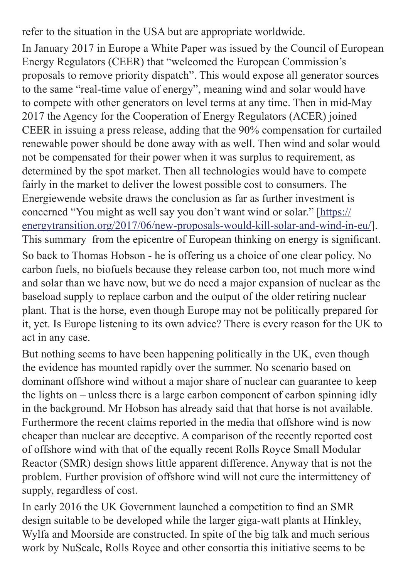refer to the situation in the USA but are appropriate worldwide.

In January 2017 in Europe a White Paper was issued by the Council of European Energy Regulators (CEER) that "welcomed the European Commission's proposals to remove priority dispatch". This would expose all generator sources to the same "real-time value of energy", meaning wind and solar would have to compete with other generators on level terms at any time. Then in mid-May 2017 the Agency for the Cooperation of Energy Regulators (ACER) joined CEER in issuing a press release, adding that the 90% compensation for curtailed renewable power should be done away with as well. Then wind and solar would not be compensated for their power when it was surplus to requirement, as determined by the spot market. Then all technologies would have to compete fairly in the market to deliver the lowest possible cost to consumers. The Energiewende website draws the conclusion as far as further investment is concerned "You might as well say you don't want wind or solar." [https:// energytransition.org/2017/06/new-proposals-would-kill-solar-and-wind-in-eu/]. This summary from the epicentre of European thinking on energy is significant. So back to Thomas Hobson - he is offering us a choice of one clear policy. No

carbon fuels, no biofuels because they release carbon too, not much more wind and solar than we have now, but we do need a major expansion of nuclear as the baseload supply to replace carbon and the output of the older retiring nuclear plant. That is the horse, even though Europe may not be politically prepared for it, yet. Is Europe listening to its own advice? There is every reason for the UK to act in any case.

But nothing seems to have been happening politically in the UK, even though the evidence has mounted rapidly over the summer. No scenario based on dominant offshore wind without a major share of nuclear can guarantee to keep the lights on – unless there is a large carbon component of carbon spinning idly in the background. Mr Hobson has already said that that horse is not available. Furthermore the recent claims reported in the media that offshore wind is now cheaper than nuclear are deceptive. A comparison of the recently reported cost of offshore wind with that of the equally recent Rolls Royce Small Modular Reactor (SMR) design shows little apparent difference. Anyway that is not the problem. Further provision of offshore wind will not cure the intermittency of supply, regardless of cost.

In early 2016 the UK Government launched a competition to find an SMR design suitable to be developed while the larger giga-watt plants at Hinkley, Wylfa and Moorside are constructed. In spite of the big talk and much serious work by NuScale, Rolls Royce and other consortia this initiative seems to be